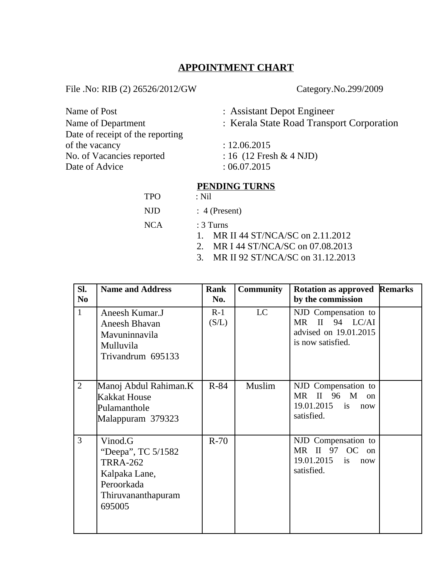# **APPOINTMENT CHART**

File .No: RIB (2) 26526/2012/GW Category.No.299/2009

| Name of Post                     | : Assistant Depot Engineer                |
|----------------------------------|-------------------------------------------|
| Name of Department               | : Kerala State Road Transport Corporation |
| Date of receipt of the reporting |                                           |
| of the vacancy                   | : 12.06.2015                              |
| No. of Vacancies reported        | : 16 $(12$ Fresh & 4 NJD)                 |
| Date of Advice                   | :06.07.2015                               |
|                                  |                                           |

# **PENDING TURNS**<br>: Nil

| <b>TPO</b> | : Nil            |
|------------|------------------|
| NJD        | $: 4$ (Present)  |
| <b>NCA</b> | $:3$ Turns       |
|            | <b>MDILAACTA</b> |

- 1. MR II 44 ST/NCA/SC on 2.11.2012
- 2. MR I 44 ST/NCA/SC on 07.08.2013
- 3. MR II 92 ST/NCA/SC on 31.12.2013

| SI.<br>N <sub>0</sub> | <b>Name and Address</b>                                                                                         | Rank<br>No.    | <b>Community</b> | <b>Rotation as approved Remarks</b><br>by the commission                                                   |  |
|-----------------------|-----------------------------------------------------------------------------------------------------------------|----------------|------------------|------------------------------------------------------------------------------------------------------------|--|
| $\mathbf{1}$          | Aneesh Kumar.J<br>Aneesh Bhavan<br>Mavuninnavila<br>Mulluvila<br>Trivandrum 695133                              | $R-1$<br>(S/L) | <b>LC</b>        | NJD Compensation to<br>II<br>94 LC/AI<br><b>MR</b><br>advised on 19.01.2015<br>is now satisfied.           |  |
| $\overline{2}$        | Manoj Abdul Rahiman.K<br>Kakkat House<br>Pulamanthole<br>Malappuram 379323                                      | $R-84$         | Muslim           | NJD Compensation to<br>$\mathbf{II}$<br><b>MR</b><br>96 M<br>$_{0n}$<br>19.01.2015 is<br>now<br>satisfied. |  |
| $\overline{3}$        | Vinod.G<br>"Deepa", TC 5/1582<br><b>TRRA-262</b><br>Kalpaka Lane,<br>Peroorkada<br>Thiruvananthapuram<br>695005 | $R-70$         |                  | NJD Compensation to<br>97<br>MR II<br>OC<br>on<br>19.01.2015<br>is<br>now<br>satisfied.                    |  |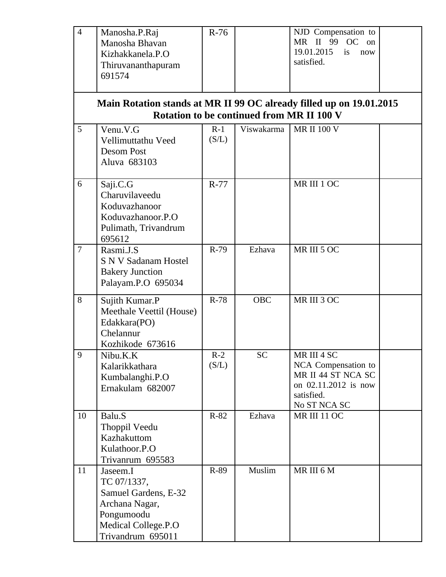| $\overline{4}$ | Manosha.P.Raj<br>Manosha Bhavan<br>Kizhakkanela.P.O                                                                                | $R-76$         |            | NJD Compensation to<br>MR II 99<br><b>OC</b><br>on<br>19.01.2015<br>is<br>now                                  |  |
|----------------|------------------------------------------------------------------------------------------------------------------------------------|----------------|------------|----------------------------------------------------------------------------------------------------------------|--|
|                | Thiruvananthapuram<br>691574                                                                                                       |                |            | satisfied.                                                                                                     |  |
|                | Main Rotation stands at MR II 99 OC already filled up on 19.01.2015                                                                |                |            | <b>Rotation to be continued from MR II 100 V</b>                                                               |  |
| 5              | Venu.V.G<br>Vellimuttathu Veed<br><b>Desom Post</b><br>Aluva 683103                                                                | $R-1$<br>(S/L) | Viswakarma | <b>MR II 100 V</b>                                                                                             |  |
| 6              | Saji.C.G<br>Charuvilaveedu<br>Koduvazhanoor<br>Koduvazhanoor.P.O<br>Pulimath, Trivandrum<br>695612                                 | R-77           |            | MR III 1 OC                                                                                                    |  |
| $\overline{7}$ | Rasmi.J.S<br><b>S N V Sadanam Hostel</b><br><b>Bakery Junction</b><br>Palayam.P.O 695034                                           | R-79           | Ezhava     | MR III 5 OC                                                                                                    |  |
| 8              | Sujith Kumar.P<br>Meethale Veettil (House)<br>Edakkara(PO)<br>Chelannur<br>Kozhikode 673616                                        | $R-78$         | <b>OBC</b> | MR III 3 OC                                                                                                    |  |
| 9              | Nibu.K.K<br>Kalarikkathara<br>Kumbalanghi.P.O<br>Ernakulam 682007                                                                  | $R-2$<br>(S/L) | SС         | MR III 4 SC<br>NCA Compensation to<br>MR II 44 ST NCA SC<br>on 02.11.2012 is now<br>satisfied.<br>No ST NCA SC |  |
| 10             | Balu.S<br>Thoppil Veedu<br>Kazhakuttom<br>Kulathoor.P.O<br>Trivanrum 695583                                                        | $R-82$         | Ezhava     | <b>MR III 11 OC</b>                                                                                            |  |
| 11             | Jaseem.I<br>TC 07/1337,<br>Samuel Gardens, E-32<br>Archana Nagar,<br>Pongumoodu<br><b>Medical College.P.O</b><br>Trivandrum 695011 | R-89           | Muslim     | MR III 6 M                                                                                                     |  |